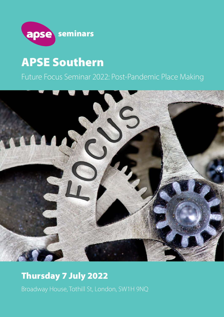

# APSE Southern

## Future Focus Seminar 2022: Post-Pandemic Place Making



## Thursday 7 July 2022

Broadway House, Tothill St, London, SW1H 9NQ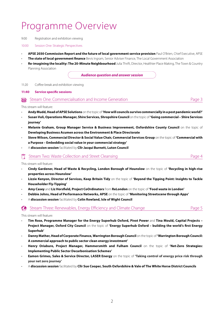## Programme Overview

#### 9:00 Registration and exhibition viewing

#### 10:00 Session One: Strategic Perspectives

- **APSE 2030 Commission Report and the future of local government service provision** Paul O'Brien, Chief Executive, APSE
- **The state of local government finance** Bevis Ingram, Senior Adviser Finance, The Local Government Association
- **Re-imagining the locality: The 20-Minute Neighbourhood** Julia Thrift, Director, Healthier Place Making, The Town & Country Planning Association

*Audience question and answer session*

#### 11:20 Coffee break and exhibition viewing

#### **11:40 Service specific sessions**

Stream One: Commercialisation and Income Generation **Page 3** Stream One: Commercialisation and Income Generation

#### This stream will feature:

- **Andy Mudd, Head of APSE Solutions** on the topic of **'How will councils survive commercially in a post pandemic world?'**
- **Susan Vuli, Operations Manager, Shire Services, Shropshire Council** on the topic of **'Going commercial Shire Services journey'**
- **Melanie Graham, Group Manager Service & Business Improvement, Oxfordshire County Council** on the topic of **Developing Business Acumen across the Environment & Place Directorate**
- **Steve Wilson, Commercial Director & Social Value Chair, Commercial Services Group** on the topic of **'Commercial with a Purpose – Embedding social value in your commercial strategy'**
- A **discussion session** facilitated by **Cllr Jacqui Burnett, Luton Council**

### Stream Two: Waste Collection and Street Cleansing Page 4

This stream will feature:

- **Cindy Gardener, Head of Waste & Recycling, London Borough of Hounslow** on the topic of **'Recycling in high-rise properties across Hounslow'**
- **Lizzie Kenyon, Director of Services, Keep Britain Tidy** on the topic of **'Beyond the Tipping Point: Insights to Tackle Householder Fly-Tipping'**
- **Amy Casey** and **Liz Horsfield, Project CoOrdinators** from **ReLondon** on the topic of **'Food waste in London'**
- **Debbie Johns, Head of Performance Networks, APSE** on the topic of **'Monitoring Streetscene through Apps'**
- A **discussion session** facilitated by **Colin Rowland, Isle of Wight Council**

 $\mathbb{C}\rightarrow$  Stream Three: Renewables, Energy Efficiency and Climate Change  $\mathbb{C}\rightarrow$  Page 5

This stream will feature:

- **Tim Rose, Programme Manager for the Energy Superhub Oxford, Pivot Power** and **Tina Mould, Capital Projects Project Manager, Oxford City Council** on the topic of **'Energy Superhub Oxford – building the world's first Energy Superhub'**
- **Danny Mather, Head of Corporate Finance, Warrington Borough Council** on the topic of **'Warrington Borough Council: A commercial approach to public sector clean energy investment'**
- **Henry Oriabure, Project Manager, Hammersmith and Fulham Council** on the topic of **'Net-Zero Strategies: Implementing Public Sector Decarbonisation Schemes'**
- **Eamon Grimes, Sales & Service Director, LASER Energy** on the topic of **'Taking control of energy price risk through your net zero journey'**
- A **discussion session** facilitated by **Cllr Sue Cooper, South Oxfordshire & Vale of The White Horse District Councils**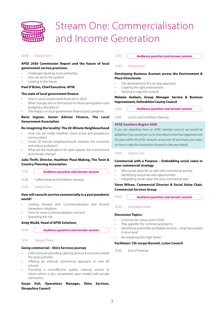

## Stream One: Commercialisation and Income Generation

#### 10:00 Session One

#### **APSE 2030 Commission Report and the future of local government service provision.**

- Challenges faced by local authorities
- How do we fix the system?
- Looking to the future.

#### **Paul O'Brien, Chief Executive, APSE**

#### **The state of local government finance**

- How is Local Government financed in 2022?
- What changes are on the horizon for financial regulation and budgetary allocations?
- The impact on local government finance post pandemic.

#### **Bevis Ingram, Senior Adviser Finance, The Local Government Association**

#### **Re-imagining the locality: The 20-Minute Neighbourhood**

- How can we create healthier, more active and prosperous communities?
- Could 20 minute neighbourhoods improve the economy and reduce pollution?
- What are the implications for open spaces, the environment and climate change?

#### **Julia Thrift, Director, Healthier Place Making, The Town & Country Planning Association**

11:00 *Audience question and answer session*

11:20 Coffee break and exhibition viewing

11:40 Session Two

#### **How will councils survive commercially in a post pandemic world?**

- Looking forward with Commercialisation and Income Generation initiatives
- Time for more Commercialisation not less?
- Spreading the risk

#### **Andy Mudd, Head of APSE Solutions**

```
12:00Audience question and answer session
```
#### 12:10 Session Three

#### **Going commercial – Shire Services journey**

- £18m turnover providing catering services to schools outside the local authority.
- Offering an external commercial approach to over 80 schools.
- Providing a cost-effective quality catering service to clients within a very competitive open market with private contractors.

### **Susan Vuli, Operations Manager, Shire Services, Shropshire Council**

#### 12:30 *Audience question and answer session*

#### 12:40 Session Four

#### **Developing Business Acumen across the Environment & Place Directorate**

- The development of a six-step approach
- Creating the right environment
- Starting to reap the rewards

#### **Melanie Graham, Group Manager Service & Business Improvement, Oxfordshire County Council**

13:00 *Audience question and answer session*

13:10 Lunch and Exhibition Viewing

#### **APSE Southern Region AGM**

*If you are attending from an APSE member council, we would be delighted if you would join us to hear about what has happened over the year within the APSE network, across the UK and share your views on how to take the Association forward in the year ahead.*

#### 14:00 Session Five

#### **Commercial with a Purpose – Embedding social value in your commercial strategy**

- Why social value fits so well with commercial activity
- Identifying outcomes and opportunities
- Integrating social value into your commercial plan

#### **Steve Wilson, Commercial Director & Social Value Chair, Commercial Services Group**

14:20 *Audience question and answer session*

#### 14:30 Innovation Hubs

#### **Discussion Topics:**

- Commercial culture post-COVID
- 'Risk appetite' for commercial projects
- Identifying potentially profitable services what has worked in your area?
- Re-imagining the High Street

#### **Facilitator: Cllr Jacqui Burnett, Luton Council**

15:30 End of Seminar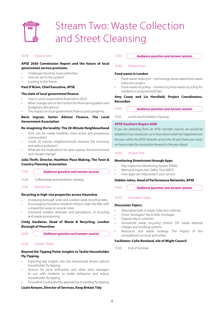

# Stream Two: Waste Collection and Street Cleansing

#### 10:00 Session One

#### **APSE 2030 Commission Report and the future of local government service provision.**

- Challenges faced by local authorities
- How do we fix the system?
- Looking to the future.

#### **Paul O'Brien, Chief Executive, APSE**

#### **The state of local government finance**

- How is Local Government financed in 2022?
- What changes are on the horizon for financial regulation and budgetary allocations?
- The impact on local government finance post pandemic.

#### **Bevis Ingram, Senior Adviser Finance, The Local Government Association**

#### **Re-imagining the locality: The 20-Minute Neighbourhood**

- How can we create healthier, more active and prosperous communities?
- Could 20 minute neighbourhoods improve the economy and reduce pollution?
- What are the implications for open spaces, the environment and climate change?

#### **Julia Thrift, Director, Healthier Place Making, The Town & Country Planning Association**

11:00 *Audience question and answer session*

- 11:20 Coffee break and exhibition viewing
- 11:40 Session Two

#### **Recycling in high-rise properties across Hounslow**

- Increasing borough-wide and London-wide recycling rates.
- Encouraging Hounslow residents living in high-rise flats with a shared bin areas to recycle more.
- Improved resident attitudes and perceptions of recycling and waste provisioning.

#### **Cindy Gardener, Head of Waste & Recycling, London Borough of Hounslow**

12:00

*Audience question and answer session*

#### 12:10 Session Three

### **Beyond the Tipping Point: Insights to Tackle Householder Fly-Tipping.**

- Exploring key insights into the behavioural drivers behind householder fly-tipping.
- Actions for local authorities and other land managers to use with residents to tackle behaviour and reduce householder fly-tipping.
- Innovative Local authority approaches to tackling fly-tipping.

#### **Lizzie Kenyon, Director of Services, Keep Britain Tidy**

#### 12:30 *Audience question and answer session*

#### 12:40 Session Four

#### **Food waste in London**

- Food waste reduction technology drives latest food waste reduction project
- Food waste recycling introducing food waste recycling for residents in purpose built flats

#### **Amy Casey and Liz Horsfield, Project Coordinators, ReLondon**

| <b>Audience question and answer session</b> |
|---------------------------------------------|
|                                             |

13:10 Lunch and Exhibition Viewing

#### **APSE Southern Region AGM**

*If you are attending from an APSE member council, we would be delighted if you would join us to hear about what has happened over the year within the APSE network, across the UK and share your views on how to take the Association forward in the year ahead.*

#### 14:00 Session Five

#### **Monitoring Streetscene through Apps**

- Play Inspection Monitoring System (PIMS)
- Memorial Inspection Safety Tool (MIST)
- How apps can help protect your service

#### **Debbie Johns, Head of Performance Networks, APSE**

 $14.20$ *Audience question and answer session*

#### 14:30 Innovation Hubs

#### **Discussion Topics:**

- Alternative fuels in waste collection vehicles
- Driver shortages/ Pay & Skills Shortages
- Deposit return schemes
- Household waste recycling centres: DIY waste disposal charges and booking systems
- Resources and waste strategy: The impact of the consultations on local authorities

#### **Facilitator: Colin Rowland, Isle of Wight Council**

15:30 End of Seminar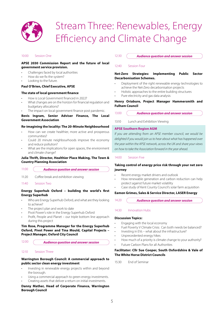

# Stream Three: Renewables, Energy Efficiency and Climate Change

#### 10:00 Session One

#### **APSE 2030 Commission Report and the future of local government service provision.**

- Challenges faced by local authorities
- How do we fix the system?
- Looking to the future.

#### **Paul O'Brien, Chief Executive, APSE**

#### **The state of local government finance**

- How is Local Government financed in 2022?
- What changes are on the horizon for financial regulation and
- budgetary allocations?
- The impact on local government finance post pandemic.

#### **Bevis Ingram, Senior Adviser Finance, The Local Government Association**

#### **Re-imagining the locality: The 20-Minute Neighbourhood**

- How can we create healthier, more active and prosperous communities?
- Could 20 minute neighbourhoods improve the economy and reduce pollution?
- What are the implications for open spaces, the environment and climate change?

#### **Julia Thrift, Director, Healthier Place Making, The Town & Country Planning Association**

#### 11:00 *Audience question and answer session*

- 11:20 Coffee break and exhibition viewing
- 11:40 Session Two

#### **Energy Superhub Oxford – building the world's first Energy Superhub**

- Who are Energy Superhub Oxford, and what are they looking to achieve?
- The project plan and work to date
- Pivot Power's role in the Energy Superhub Oxford
- Profit, People and Planet our triple bottom line approach during this project

#### **Tim Rose, Programme Manager for the Energy Superhub Oxford, Pivot Power and Tina Mould, Capital Projects – Project Manager, Oxford City Council**

12:00

*Audience question and answer session*

#### 12:10 Session Three

#### **Warrington Borough Council: A commercial approach to public sector clean energy investment**

- Investing in renewable energy projects within and beyond the borough.
- Using a commercial approach to green energy investments.
- Creating assets that deliver a return on initial investments.

#### **Danny Mather, Head of Corporate Finance, Warrington Borough Council**

#### 12:30 *Audience question and answer session*

#### 12:40 Session Four

#### **Net-Zero Strategies: Implementing Public Sector Decarbonisation Schemes.**

- Deployment of the right renewable energy technologies to achieve the Net-Zero decarbonisation projects
- Holistic approaches to the entire building structures
- Pure electricity and gas data analysis

#### **Henry Oriabure, Project Manager Hammersmith and Fulham Council**

| 13:00 | <b>Audience question and answer session</b> |
|-------|---------------------------------------------|
|-------|---------------------------------------------|

13:10 Lunch and Exhibition Viewing

#### **APSE Southern Region AGM**

*If you are attending from an APSE member council, we would be delighted if you would join us to hear about what has happened over the year within the APSE network, across the UK and share your views on how to take the Association forward in the year ahead.*

#### 14:00 Session Five

#### **Taking control of energy price risk through your net zero journey**

- Recent energy market drivers and outlook
- How renewable generation and carbon reduction can help protect against future market volatility
- Case study of Kent County Council's solar farm acquisition

#### **Eamon Grimes, Sales & Service Director, LASER Energy**

14:20 *Audience question and answer session*

#### 14:30 Innovation Hubs

#### **Discussion Topics:**

- Engaging with the local economy
- Fuel Poverty V Climate Crisis: Can both needs be balanced?
- Investing in EVs what about the infrastructure?
- Unprecedented energy hikes
- How much of a priority is climate change to your authority? • Future Carbon Plans for all Authorities

#### **Facilitator: Cllr Sue Cooper, South Oxfordshire & Vale of The White Horse District Councils**

15:30 End of Seminar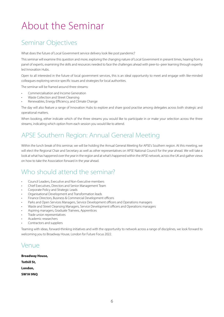# About the Seminar

## Seminar Objectives

What does the future of Local Government service delivery look like post pandemic?

This seminar will examine this question and more, exploring the changing nature of Local Government in present times, hearing from a panel of experts, examining the skills and resources needed to face the challenges ahead with peer-to–peer learning through expertly led Innovation Hubs.

Open to all interested in the future of local government services, this is an ideal opportunity to meet and engage with like-minded colleagues exploring service specific issues and strategies for local authorities.

The seminar will be framed around three streams:

- Commercialisation and Income Generation
- Waste Collection and Street Cleansing
- Renewables, Energy Efficiency, and Climate Change

The day will also feature a range of Innovation Hubs to explore and share good practise among delegates across both strategic and operational matters.

When booking, either indicate which of the three streams you would like to participate in or make your selection across the three streams, indicating which option from each session you would like to attend.

## APSE Southern Region: Annual General Meeting

Within the lunch break of this seminar, we will be holding the Annual General Meeting for APSE's Southern region. At this meeting, we will elect the Regional Chair and Secretary as well as other representatives on APSE National Council for the year ahead. We will take a look at what has happened over the year in the region and at what's happened within the APSE network, across the UK and gather views on how to take the Association forward in the year ahead.

### Who should attend the seminar?

- Council Leaders, Executive and Non-Executive members
- Chief Executives, Directors and Senior Management Team
- Corporate Policy and Strategic Leads
- Organisational Development and Transformation leads
- Finance Directors, Business & Commercial Development officers
- Parks and Open Services Managers, Service Development officers and Operations managers
- Waste and Street Cleansing Managers, Service Development officers and Operations managers
- Aspiring managers, Graduate Trainees, Apprentices
- Trade union representatives
- Academic researchers
- Contractors and suppliers

Teaming with ideas, forward-thinking initiatives and with the opportunity to network across a range of disciplines, we look forward to welcoming you to Broadway House, London for Future Focus 2022.

### Venue

| Broadway House, |  |  |
|-----------------|--|--|
| Tothill St.     |  |  |
| London,         |  |  |
| SW1H 9NO        |  |  |